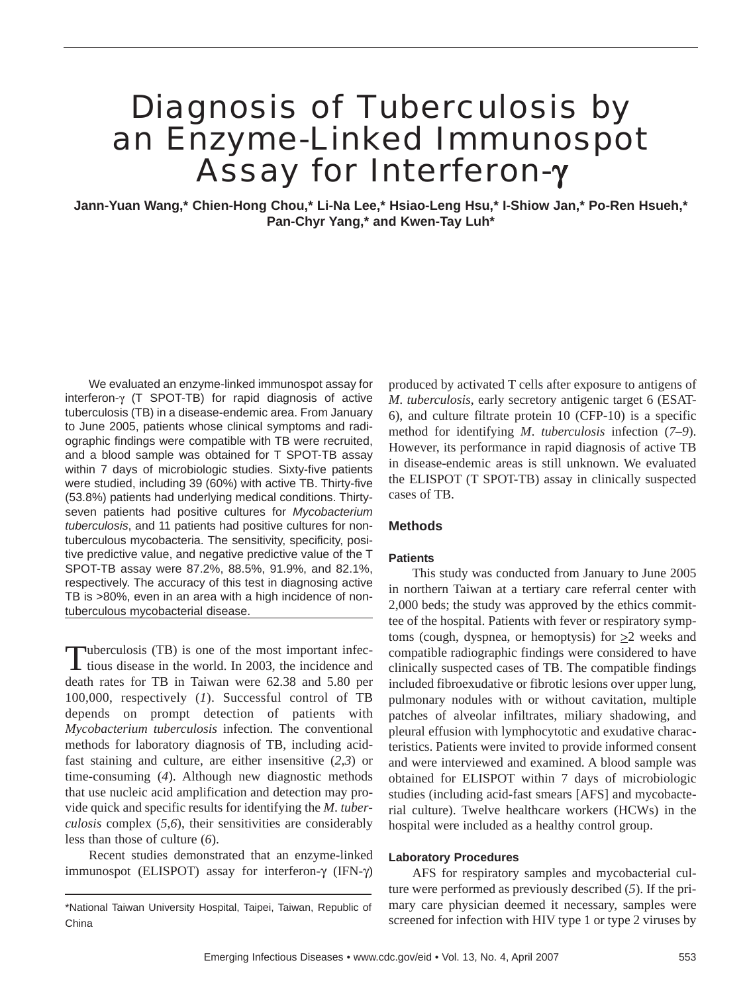# Diagnosis of Tuberculosis by an Enzyme-Linked Immunospot Assay for Interferon-γ

**Jann-Yuan Wang,\* Chien-Hong Chou,\* Li-Na Lee,\* Hsiao-Leng Hsu,\* I-Shiow Jan,\* Po-Ren Hsueh,\* Pan-Chyr Yang,\* and Kwen-Tay Luh\***

We evaluated an enzyme-linked immunospot assay for interferon-γ (T SPOT-TB) for rapid diagnosis of active tuberculosis (TB) in a disease-endemic area. From January to June 2005, patients whose clinical symptoms and radiographic findings were compatible with TB were recruited, and a blood sample was obtained for T SPOT-TB assay within 7 days of microbiologic studies. Sixty-five patients were studied, including 39 (60%) with active TB. Thirty-five (53.8%) patients had underlying medical conditions. Thirtyseven patients had positive cultures for *Mycobacterium tuberculosis*, and 11 patients had positive cultures for nontuberculous mycobacteria. The sensitivity, specificity, positive predictive value, and negative predictive value of the T SPOT-TB assay were 87.2%, 88.5%, 91.9%, and 82.1%, respectively. The accuracy of this test in diagnosing active TB is >80%, even in an area with a high incidence of nontuberculous mycobacterial disease.

Tuberculosis (TB) is one of the most important infectious disease in the world. In 2003, the incidence and death rates for TB in Taiwan were 62.38 and 5.80 per 100,000, respectively (*1*). Successful control of TB depends on prompt detection of patients with *Mycobacterium tuberculosis* infection. The conventional methods for laboratory diagnosis of TB, including acidfast staining and culture, are either insensitive (*2*,*3*) or time-consuming (*4*). Although new diagnostic methods that use nucleic acid amplification and detection may provide quick and specific results for identifying the *M*. *tuberculosis* complex (*5*,*6*), their sensitivities are considerably less than those of culture (*6*).

Recent studies demonstrated that an enzyme-linked immunospot (ELISPOT) assay for interferon-γ (IFN-γ)

produced by activated T cells after exposure to antigens of *M*. *tuberculosis*, early secretory antigenic target 6 (ESAT-6), and culture filtrate protein 10 (CFP-10) is a specific method for identifying *M*. *tuberculosis* infection (*7*–*9*). However, its performance in rapid diagnosis of active TB in disease-endemic areas is still unknown. We evaluated the ELISPOT (T SPOT-TB) assay in clinically suspected cases of TB.

### **Methods**

### **Patients**

This study was conducted from January to June 2005 in northern Taiwan at a tertiary care referral center with 2,000 beds; the study was approved by the ethics committee of the hospital. Patients with fever or respiratory symptoms (cough, dyspnea, or hemoptysis) for  $\geq 2$  weeks and compatible radiographic findings were considered to have clinically suspected cases of TB. The compatible findings included fibroexudative or fibrotic lesions over upper lung, pulmonary nodules with or without cavitation, multiple patches of alveolar infiltrates, miliary shadowing, and pleural effusion with lymphocytotic and exudative characteristics. Patients were invited to provide informed consent and were interviewed and examined. A blood sample was obtained for ELISPOT within 7 days of microbiologic studies (including acid-fast smears [AFS] and mycobacterial culture). Twelve healthcare workers (HCWs) in the hospital were included as a healthy control group.

#### **Laboratory Procedures**

AFS for respiratory samples and mycobacterial culture were performed as previously described (*5*). If the primary care physician deemed it necessary, samples were screened for infection with HIV type 1 or type 2 viruses by

<sup>\*</sup>National Taiwan University Hospital, Taipei, Taiwan, Republic of China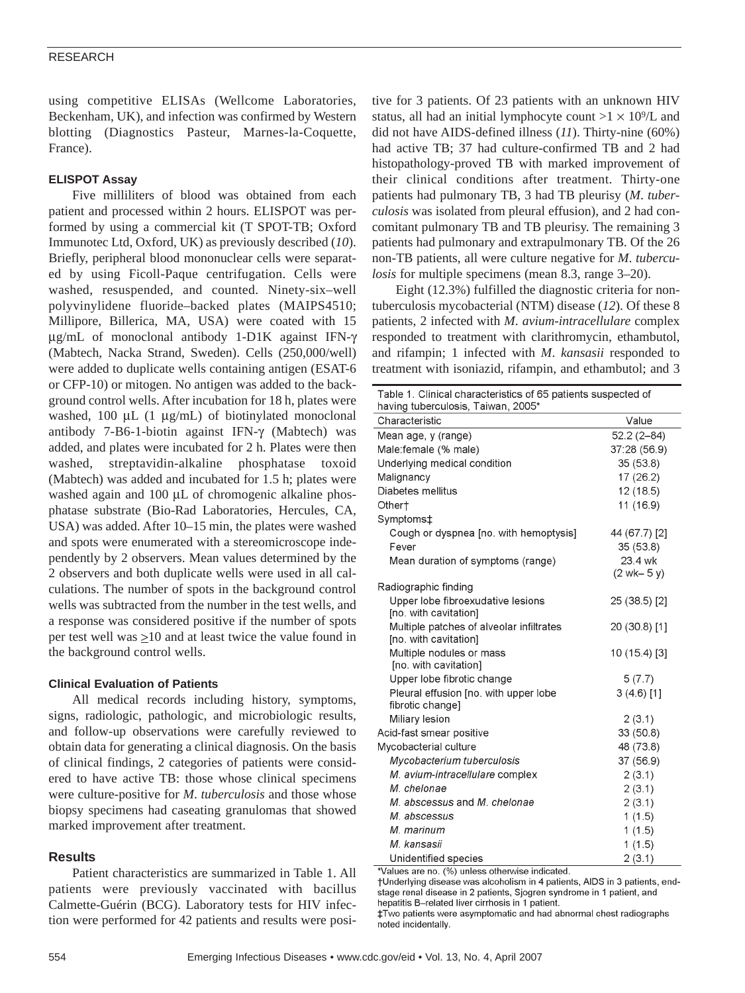using competitive ELISAs (Wellcome Laboratories, Beckenham, UK), and infection was confirmed by Western blotting (Diagnostics Pasteur, Marnes-la-Coquette, France).

# **ELISPOT Assay**

Five milliliters of blood was obtained from each patient and processed within 2 hours. ELISPOT was performed by using a commercial kit (T SPOT-TB; Oxford Immunotec Ltd, Oxford, UK) as previously described (*10*). Briefly, peripheral blood mononuclear cells were separated by using Ficoll-Paque centrifugation. Cells were washed, resuspended, and counted. Ninety-six–well polyvinylidene fluoride–backed plates (MAIPS4510; Millipore, Billerica, MA, USA) were coated with 15 µg/mL of monoclonal antibody 1-D1K against IFN-γ (Mabtech, Nacka Strand, Sweden). Cells (250,000/well) were added to duplicate wells containing antigen (ESAT-6 or CFP-10) or mitogen. No antigen was added to the background control wells. After incubation for 18 h, plates were washed, 100  $\mu$ L (1  $\mu$ g/mL) of biotinylated monoclonal antibody 7-B6-1-biotin against IFN-γ (Mabtech) was added, and plates were incubated for 2 h. Plates were then washed, streptavidin-alkaline phosphatase toxoid (Mabtech) was added and incubated for 1.5 h; plates were washed again and 100 µL of chromogenic alkaline phosphatase substrate (Bio-Rad Laboratories, Hercules, CA, USA) was added. After 10–15 min, the plates were washed and spots were enumerated with a stereomicroscope independently by 2 observers. Mean values determined by the 2 observers and both duplicate wells were used in all calculations. The number of spots in the background control wells was subtracted from the number in the test wells, and a response was considered positive if the number of spots per test well was  $\geq 10$  and at least twice the value found in the background control wells.

# **Clinical Evaluation of Patients**

All medical records including history, symptoms, signs, radiologic, pathologic, and microbiologic results, and follow-up observations were carefully reviewed to obtain data for generating a clinical diagnosis. On the basis of clinical findings, 2 categories of patients were considered to have active TB: those whose clinical specimens were culture-positive for *M*. *tuberculosis* and those whose biopsy specimens had caseating granulomas that showed marked improvement after treatment.

# **Results**

Patient characteristics are summarized in Table 1. All patients were previously vaccinated with bacillus Calmette-Guérin (BCG). Laboratory tests for HIV infection were performed for 42 patients and results were positive for 3 patients. Of 23 patients with an unknown HIV status, all had an initial lymphocyte count  $>1 \times 10^9$ /L and did not have AIDS-defined illness (*11*). Thirty-nine (60%) had active TB; 37 had culture-confirmed TB and 2 had histopathology-proved TB with marked improvement of their clinical conditions after treatment. Thirty-one patients had pulmonary TB, 3 had TB pleurisy (*M*. *tuberculosis* was isolated from pleural effusion), and 2 had concomitant pulmonary TB and TB pleurisy. The remaining 3 patients had pulmonary and extrapulmonary TB. Of the 26 non-TB patients, all were culture negative for *M*. *tuberculosis* for multiple specimens (mean 8.3, range 3–20).

Eight (12.3%) fulfilled the diagnostic criteria for nontuberculosis mycobacterial (NTM) disease (*12*). Of these 8 patients, 2 infected with *M*. *avium-intracellulare* complex responded to treatment with clarithromycin, ethambutol, and rifampin; 1 infected with *M*. *kansasii* responded to treatment with isoniazid, rifampin, and ethambutol; and 3

| Table 1. Clinical characteristics of 65 patients suspected of<br>having tuberculosis, Taiwan, 2005* |                |  |  |  |  |
|-----------------------------------------------------------------------------------------------------|----------------|--|--|--|--|
| Characteristic                                                                                      | Value          |  |  |  |  |
| Mean age, y (range)                                                                                 | $52.2(2 - 84)$ |  |  |  |  |
| Male:female (% male)                                                                                | 37:28 (56.9)   |  |  |  |  |
| Underlying medical condition                                                                        | 35 (53.8)      |  |  |  |  |
| Malignancy                                                                                          | 17 (26.2)      |  |  |  |  |
| Diabetes mellitus                                                                                   | 12(18.5)       |  |  |  |  |
| Other†                                                                                              | 11 (16.9)      |  |  |  |  |
| Symptoms‡                                                                                           |                |  |  |  |  |
| Cough or dyspnea [no. with hemoptysis]                                                              | 44 (67.7) [2]  |  |  |  |  |
| Fever                                                                                               | 35 (53.8)      |  |  |  |  |
| Mean duration of symptoms (range)                                                                   | 23.4 wk        |  |  |  |  |
|                                                                                                     | $(2$ wk- 5 y)  |  |  |  |  |
| Radiographic finding                                                                                |                |  |  |  |  |
| Upper lobe fibroexudative lesions                                                                   | 25 (38.5) [2]  |  |  |  |  |
| [no. with cavitation]                                                                               |                |  |  |  |  |
| Multiple patches of alveolar infiltrates<br>[no. with cavitation]                                   | 20 (30.8) [1]  |  |  |  |  |
| Multiple nodules or mass<br>[no. with cavitation]                                                   | 10 (15.4) [3]  |  |  |  |  |
| Upper lobe fibrotic change                                                                          | 5(7.7)         |  |  |  |  |
| Pleural effusion [no. with upper lobe                                                               | $3(4.6)$ [1]   |  |  |  |  |
| fibrotic change]                                                                                    |                |  |  |  |  |
| Miliary lesion                                                                                      | 2(3.1)         |  |  |  |  |
| Acid-fast smear positive                                                                            | 33 (50.8)      |  |  |  |  |
| Mycobacterial culture                                                                               | 48 (73.8)      |  |  |  |  |
| Mycobacterium tuberculosis                                                                          | 37 (56.9)      |  |  |  |  |
| M. avium-intracellulare complex                                                                     | 2(3.1)         |  |  |  |  |
| M. chelonae                                                                                         | 2(3.1)         |  |  |  |  |
| M. abscessus and M. chelonae                                                                        | 2(3.1)         |  |  |  |  |
| M. abscessus                                                                                        | 1(1.5)         |  |  |  |  |
| M. marinum                                                                                          | 1(1.5)         |  |  |  |  |
| M. kansasii                                                                                         | 1(1.5)         |  |  |  |  |
| Unidentified species                                                                                | 2(3.1)         |  |  |  |  |

\*Values are no. (%) unless otherwise indicated.

†Underlying disease was alcoholism in 4 patients, AIDS in 3 patients, endstage renal disease in 2 patients, Sjogren syndrome in 1 patient, and hepatitis B-related liver cirrhosis in 1 patient.

#Two patients were asymptomatic and had abnormal chest radiographs noted incidentally.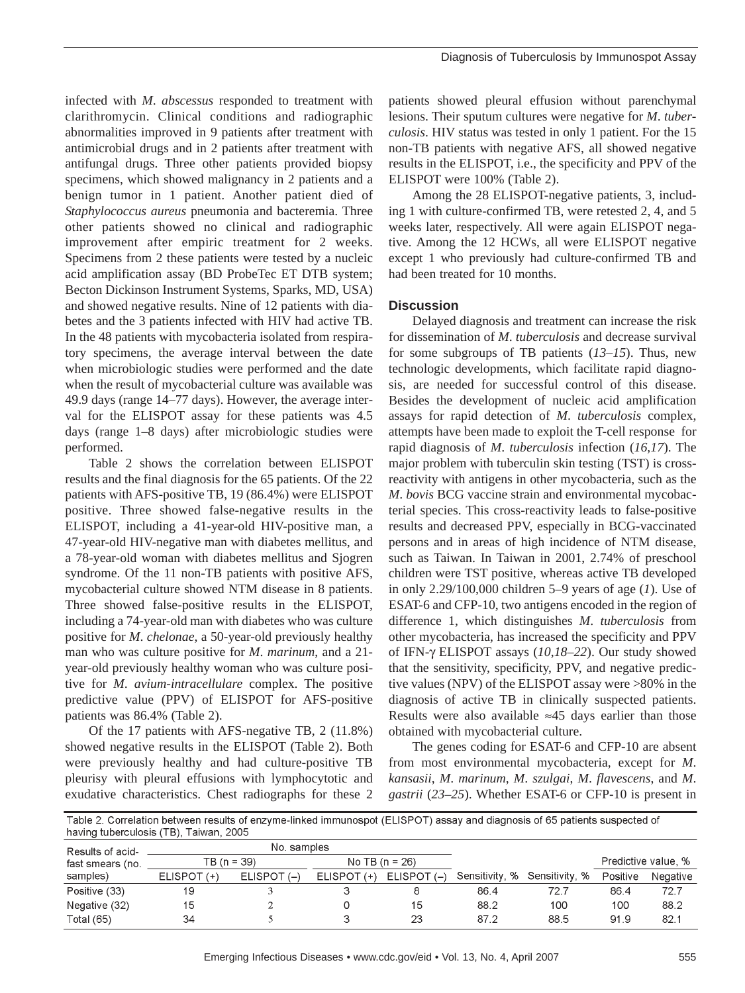infected with *M*. *abscessus* responded to treatment with clarithromycin. Clinical conditions and radiographic abnormalities improved in 9 patients after treatment with antimicrobial drugs and in 2 patients after treatment with antifungal drugs. Three other patients provided biopsy specimens, which showed malignancy in 2 patients and a benign tumor in 1 patient. Another patient died of *Staphylococcus aureus* pneumonia and bacteremia. Three other patients showed no clinical and radiographic improvement after empiric treatment for 2 weeks. Specimens from 2 these patients were tested by a nucleic acid amplification assay (BD ProbeTec ET DTB system; Becton Dickinson Instrument Systems, Sparks, MD, USA) and showed negative results. Nine of 12 patients with diabetes and the 3 patients infected with HIV had active TB. In the 48 patients with mycobacteria isolated from respiratory specimens, the average interval between the date when microbiologic studies were performed and the date when the result of mycobacterial culture was available was 49.9 days (range 14–77 days). However, the average interval for the ELISPOT assay for these patients was 4.5 days (range 1–8 days) after microbiologic studies were performed.

Table 2 shows the correlation between ELISPOT results and the final diagnosis for the 65 patients. Of the 22 patients with AFS-positive TB, 19 (86.4%) were ELISPOT positive. Three showed false-negative results in the ELISPOT, including a 41-year-old HIV-positive man, a 47-year-old HIV-negative man with diabetes mellitus, and a 78-year-old woman with diabetes mellitus and Sjogren syndrome. Of the 11 non-TB patients with positive AFS, mycobacterial culture showed NTM disease in 8 patients. Three showed false-positive results in the ELISPOT, including a 74-year-old man with diabetes who was culture positive for *M*. *chelonae*, a 50-year-old previously healthy man who was culture positive for *M*. *marinum*, and a 21 year-old previously healthy woman who was culture positive for *M*. *avium-intracellulare* complex. The positive predictive value (PPV) of ELISPOT for AFS-positive patients was 86.4% (Table 2).

Of the 17 patients with AFS-negative TB, 2 (11.8%) showed negative results in the ELISPOT (Table 2). Both were previously healthy and had culture-positive TB pleurisy with pleural effusions with lymphocytotic and exudative characteristics. Chest radiographs for these 2

patients showed pleural effusion without parenchymal lesions. Their sputum cultures were negative for *M*. *tuberculosis*. HIV status was tested in only 1 patient. For the 15 non-TB patients with negative AFS, all showed negative results in the ELISPOT, i.e., the specificity and PPV of the ELISPOT were 100% (Table 2).

Among the 28 ELISPOT-negative patients, 3, including 1 with culture-confirmed TB, were retested 2, 4, and 5 weeks later, respectively. All were again ELISPOT negative. Among the 12 HCWs, all were ELISPOT negative except 1 who previously had culture-confirmed TB and had been treated for 10 months.

# **Discussion**

Delayed diagnosis and treatment can increase the risk for dissemination of *M*. *tuberculosis* and decrease survival for some subgroups of TB patients (*13*–*15*). Thus, new technologic developments, which facilitate rapid diagnosis, are needed for successful control of this disease. Besides the development of nucleic acid amplification assays for rapid detection of *M*. *tuberculosis* complex, attempts have been made to exploit the T-cell response for rapid diagnosis of *M*. *tuberculosis* infection (*16,17*). The major problem with tuberculin skin testing (TST) is crossreactivity with antigens in other mycobacteria, such as the *M*. *bovis* BCG vaccine strain and environmental mycobacterial species. This cross-reactivity leads to false-positive results and decreased PPV, especially in BCG-vaccinated persons and in areas of high incidence of NTM disease, such as Taiwan. In Taiwan in 2001, 2.74% of preschool children were TST positive, whereas active TB developed in only 2.29/100,000 children 5–9 years of age (*1*). Use of ESAT-6 and CFP-10, two antigens encoded in the region of difference 1, which distinguishes *M*. *tuberculosis* from other mycobacteria, has increased the specificity and PPV of IFN-γ ELISPOT assays (*10*,*18*–*22*). Our study showed that the sensitivity, specificity, PPV, and negative predictive values (NPV) of the ELISPOT assay were >80% in the diagnosis of active TB in clinically suspected patients. Results were also available  $\approx$ 45 days earlier than those obtained with mycobacterial culture.

The genes coding for ESAT-6 and CFP-10 are absent from most environmental mycobacteria, except for *M*. *kansasii*, *M*. *marinum*, *M*. *szulgai*, *M*. *flavescens*, and *M*. *gastrii* (*23*–*25*). Whether ESAT-6 or CFP-10 is present in

Table 2. Correlation between results of enzyme-linked immunospot (ELISPOT) assay and diagnosis of 65 patients suspected of having fuberculosis (TR) Taiwan 2005

| Results of acid- | No. samples   |               |                  |             |      |                               |                     |          |
|------------------|---------------|---------------|------------------|-------------|------|-------------------------------|---------------------|----------|
| fast smears (no. | $TB(n = 39)$  |               | No TB $(n = 26)$ |             |      |                               | Predictive value, % |          |
| samples)         | ELISPOT $(+)$ | ELISPOT $(-)$ | ELISPOT (+)      | ELISPOT (-) |      | Sensitivity, % Sensitivity, % | Positive            | Negative |
| Positive (33)    | 19            |               |                  |             | 86.4 | 72.7                          | 86.4                | 72.7     |
| Negative (32)    | 15            |               |                  | 15          | 88.2 | 100                           | 100                 | 88.2     |
| Total (65)       | 34            |               |                  | 23          | 87.2 | 88.5                          | 91.9                | 82.1     |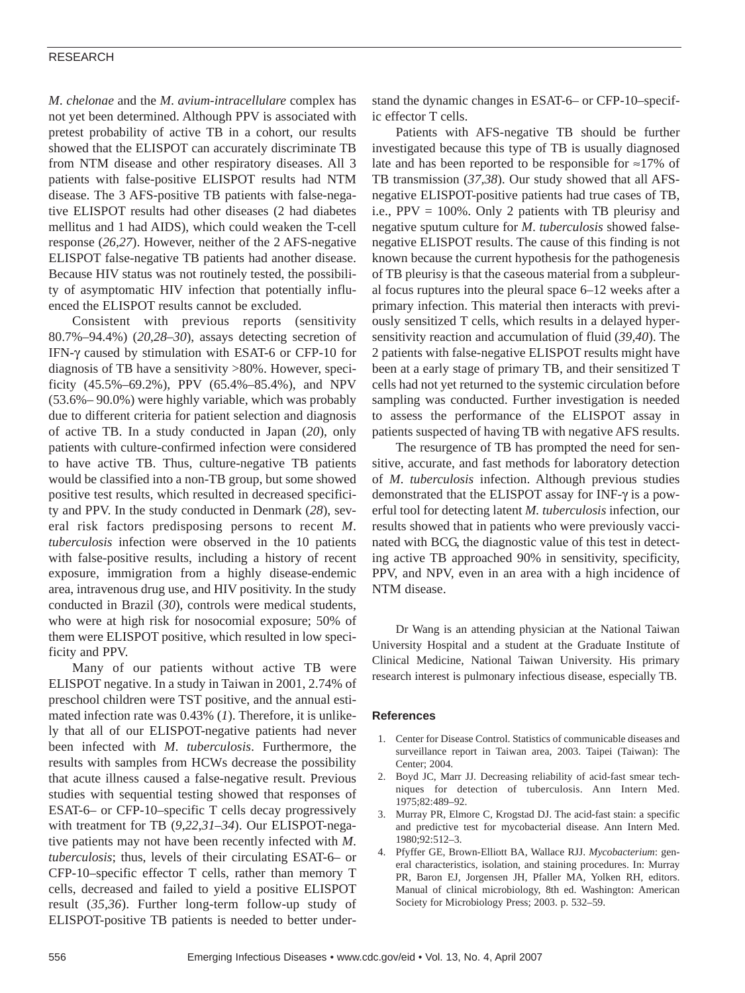## RESEARCH

*M*. *chelonae* and the *M*. *avium-intracellulare* complex has not yet been determined. Although PPV is associated with pretest probability of active TB in a cohort, our results showed that the ELISPOT can accurately discriminate TB from NTM disease and other respiratory diseases. All 3 patients with false-positive ELISPOT results had NTM disease. The 3 AFS-positive TB patients with false-negative ELISPOT results had other diseases (2 had diabetes mellitus and 1 had AIDS), which could weaken the T-cell response (*26,27*). However, neither of the 2 AFS-negative ELISPOT false-negative TB patients had another disease. Because HIV status was not routinely tested, the possibility of asymptomatic HIV infection that potentially influenced the ELISPOT results cannot be excluded.

Consistent with previous reports (sensitivity 80.7%–94.4%) (*20*,*28*–*30*), assays detecting secretion of IFN-γ caused by stimulation with ESAT-6 or CFP-10 for diagnosis of TB have a sensitivity >80%. However, specificity (45.5%–69.2%), PPV (65.4%–85.4%), and NPV (53.6%– 90.0%) were highly variable, which was probably due to different criteria for patient selection and diagnosis of active TB. In a study conducted in Japan (*20*), only patients with culture-confirmed infection were considered to have active TB. Thus, culture-negative TB patients would be classified into a non-TB group, but some showed positive test results, which resulted in decreased specificity and PPV. In the study conducted in Denmark (*28*), several risk factors predisposing persons to recent *M*. *tuberculosis* infection were observed in the 10 patients with false-positive results, including a history of recent exposure, immigration from a highly disease-endemic area, intravenous drug use, and HIV positivity. In the study conducted in Brazil (*30*), controls were medical students, who were at high risk for nosocomial exposure; 50% of them were ELISPOT positive, which resulted in low specificity and PPV.

Many of our patients without active TB were ELISPOT negative. In a study in Taiwan in 2001, 2.74% of preschool children were TST positive, and the annual estimated infection rate was 0.43% (*1*). Therefore, it is unlikely that all of our ELISPOT-negative patients had never been infected with *M*. *tuberculosis*. Furthermore, the results with samples from HCWs decrease the possibility that acute illness caused a false-negative result. Previous studies with sequential testing showed that responses of ESAT-6– or CFP-10–specific T cells decay progressively with treatment for TB (*9*,*22*,*31*–*34*). Our ELISPOT-negative patients may not have been recently infected with *M*. *tuberculosis*; thus, levels of their circulating ESAT-6– or CFP-10–specific effector T cells, rather than memory T cells, decreased and failed to yield a positive ELISPOT result (*35,36*). Further long-term follow-up study of ELISPOT-positive TB patients is needed to better understand the dynamic changes in ESAT-6– or CFP-10–specific effector T cells.

Patients with AFS-negative TB should be further investigated because this type of TB is usually diagnosed late and has been reported to be responsible for ≈17% of TB transmission (*37,38*). Our study showed that all AFSnegative ELISPOT-positive patients had true cases of TB, i.e.,  $PPV = 100\%$ . Only 2 patients with TB pleurisy and negative sputum culture for *M*. *tuberculosis* showed falsenegative ELISPOT results. The cause of this finding is not known because the current hypothesis for the pathogenesis of TB pleurisy is that the caseous material from a subpleural focus ruptures into the pleural space 6–12 weeks after a primary infection. This material then interacts with previously sensitized T cells, which results in a delayed hypersensitivity reaction and accumulation of fluid (*39,40*). The 2 patients with false-negative ELISPOT results might have been at a early stage of primary TB, and their sensitized T cells had not yet returned to the systemic circulation before sampling was conducted. Further investigation is needed to assess the performance of the ELISPOT assay in patients suspected of having TB with negative AFS results.

The resurgence of TB has prompted the need for sensitive, accurate, and fast methods for laboratory detection of *M*. *tuberculosis* infection. Although previous studies demonstrated that the ELISPOT assay for INF-γ is a powerful tool for detecting latent *M. tuberculosis* infection, our results showed that in patients who were previously vaccinated with BCG, the diagnostic value of this test in detecting active TB approached 90% in sensitivity, specificity, PPV, and NPV, even in an area with a high incidence of NTM disease.

Dr Wang is an attending physician at the National Taiwan University Hospital and a student at the Graduate Institute of Clinical Medicine, National Taiwan University. His primary research interest is pulmonary infectious disease, especially TB.

#### **References**

- 1. Center for Disease Control. Statistics of communicable diseases and surveillance report in Taiwan area, 2003. Taipei (Taiwan): The Center; 2004.
- 2. Boyd JC, Marr JJ. Decreasing reliability of acid-fast smear techniques for detection of tuberculosis. Ann Intern Med. 1975;82:489–92.
- 3. Murray PR, Elmore C, Krogstad DJ. The acid-fast stain: a specific and predictive test for mycobacterial disease. Ann Intern Med. 1980;92:512–3.
- 4. Pfyffer GE, Brown-Elliott BA, Wallace RJJ. *Mycobacterium*: general characteristics, isolation, and staining procedures. In: Murray PR, Baron EJ, Jorgensen JH, Pfaller MA, Yolken RH, editors. Manual of clinical microbiology, 8th ed. Washington: American Society for Microbiology Press; 2003. p. 532–59.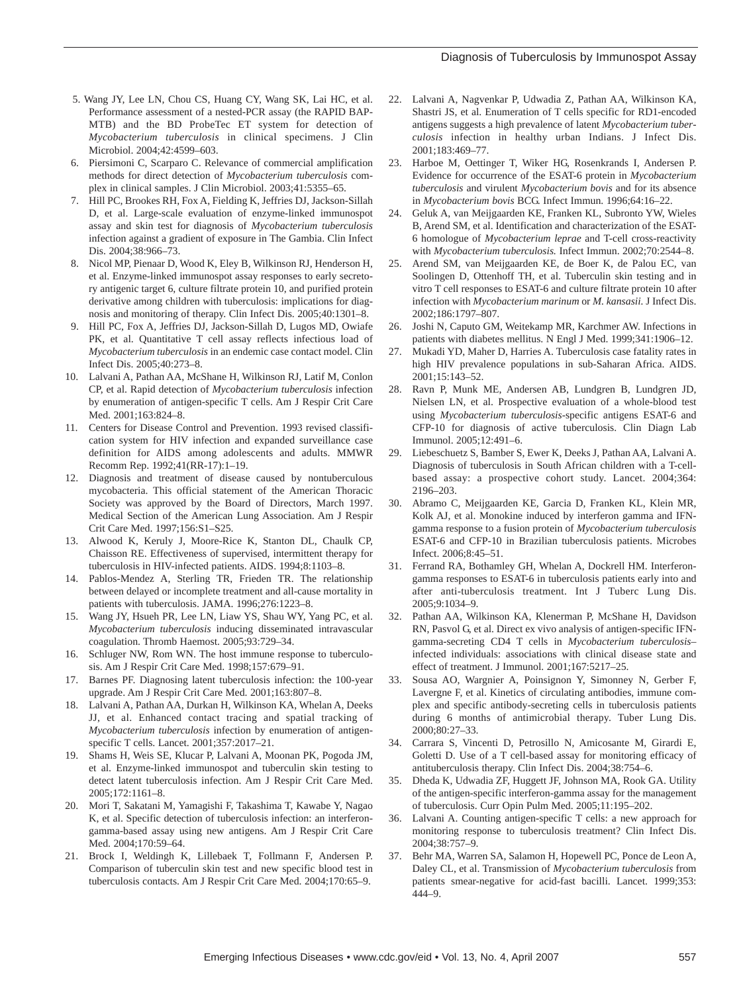- 5. Wang JY, Lee LN, Chou CS, Huang CY, Wang SK, Lai HC, et al. Performance assessment of a nested-PCR assay (the RAPID BAP-MTB) and the BD ProbeTec ET system for detection of *Mycobacterium tuberculosis* in clinical specimens. J Clin Microbiol. 2004;42:4599–603.
- 6. Piersimoni C, Scarparo C. Relevance of commercial amplification methods for direct detection of *Mycobacterium tuberculosis* complex in clinical samples. J Clin Microbiol. 2003;41:5355–65.
- 7. Hill PC, Brookes RH, Fox A, Fielding K, Jeffries DJ, Jackson-Sillah D, et al. Large-scale evaluation of enzyme-linked immunospot assay and skin test for diagnosis of *Mycobacterium tuberculosis* infection against a gradient of exposure in The Gambia. Clin Infect Dis. 2004;38:966–73.
- 8. Nicol MP, Pienaar D, Wood K, Eley B, Wilkinson RJ, Henderson H, et al. Enzyme-linked immunospot assay responses to early secretory antigenic target 6, culture filtrate protein 10, and purified protein derivative among children with tuberculosis: implications for diagnosis and monitoring of therapy. Clin Infect Dis. 2005;40:1301–8.
- 9. Hill PC, Fox A, Jeffries DJ, Jackson-Sillah D, Lugos MD, Owiafe PK, et al. Quantitative T cell assay reflects infectious load of *Mycobacterium tuberculosis* in an endemic case contact model. Clin Infect Dis. 2005;40:273–8.
- 10. Lalvani A, Pathan AA, McShane H, Wilkinson RJ, Latif M, Conlon CP, et al. Rapid detection of *Mycobacterium tuberculosis* infection by enumeration of antigen-specific T cells. Am J Respir Crit Care Med. 2001;163:824–8.
- 11. Centers for Disease Control and Prevention. 1993 revised classification system for HIV infection and expanded surveillance case definition for AIDS among adolescents and adults. MMWR Recomm Rep. 1992;41(RR-17):1–19.
- 12. Diagnosis and treatment of disease caused by nontuberculous mycobacteria. This official statement of the American Thoracic Society was approved by the Board of Directors, March 1997. Medical Section of the American Lung Association. Am J Respir Crit Care Med. 1997;156:S1–S25.
- 13. Alwood K, Keruly J, Moore-Rice K, Stanton DL, Chaulk CP, Chaisson RE. Effectiveness of supervised, intermittent therapy for tuberculosis in HIV-infected patients. AIDS. 1994;8:1103–8.
- 14. Pablos-Mendez A, Sterling TR, Frieden TR. The relationship between delayed or incomplete treatment and all-cause mortality in patients with tuberculosis. JAMA. 1996;276:1223–8.
- 15. Wang JY, Hsueh PR, Lee LN, Liaw YS, Shau WY, Yang PC, et al. *Mycobacterium tuberculosis* inducing disseminated intravascular coagulation. Thromb Haemost. 2005;93:729–34.
- 16. Schluger NW, Rom WN. The host immune response to tuberculosis. Am J Respir Crit Care Med. 1998;157:679–91.
- 17. Barnes PF. Diagnosing latent tuberculosis infection: the 100-year upgrade. Am J Respir Crit Care Med. 2001;163:807–8.
- 18. Lalvani A, Pathan AA, Durkan H, Wilkinson KA, Whelan A, Deeks JJ, et al. Enhanced contact tracing and spatial tracking of *Mycobacterium tuberculosis* infection by enumeration of antigenspecific T cells. Lancet. 2001;357:2017–21.
- 19. Shams H, Weis SE, Klucar P, Lalvani A, Moonan PK, Pogoda JM, et al. Enzyme-linked immunospot and tuberculin skin testing to detect latent tuberculosis infection. Am J Respir Crit Care Med. 2005;172:1161–8.
- 20. Mori T, Sakatani M, Yamagishi F, Takashima T, Kawabe Y, Nagao K, et al. Specific detection of tuberculosis infection: an interferongamma-based assay using new antigens. Am J Respir Crit Care Med. 2004;170:59–64.
- 21. Brock I, Weldingh K, Lillebaek T, Follmann F, Andersen P. Comparison of tuberculin skin test and new specific blood test in tuberculosis contacts. Am J Respir Crit Care Med. 2004;170:65–9.
- 22. Lalvani A, Nagvenkar P, Udwadia Z, Pathan AA, Wilkinson KA, Shastri JS, et al. Enumeration of T cells specific for RD1-encoded antigens suggests a high prevalence of latent *Mycobacterium tuberculosis* infection in healthy urban Indians. J Infect Dis. 2001;183:469–77.
- 23. Harboe M, Oettinger T, Wiker HG, Rosenkrands I, Andersen P. Evidence for occurrence of the ESAT-6 protein in *Mycobacterium tuberculosis* and virulent *Mycobacterium bovis* and for its absence in *Mycobacterium bovis* BCG. Infect Immun. 1996;64:16–22.
- 24. Geluk A, van Meijgaarden KE, Franken KL, Subronto YW, Wieles B, Arend SM, et al. Identification and characterization of the ESAT-6 homologue of *Mycobacterium leprae* and T-cell cross-reactivity with *Mycobacterium tuberculosis.* Infect Immun. 2002;70:2544–8.
- 25. Arend SM, van Meijgaarden KE, de Boer K, de Palou EC, van Soolingen D, Ottenhoff TH, et al. Tuberculin skin testing and in vitro T cell responses to ESAT-6 and culture filtrate protein 10 after infection with *Mycobacterium marinum* or *M. kansasii.* J Infect Dis. 2002;186:1797–807.
- 26. Joshi N, Caputo GM, Weitekamp MR, Karchmer AW. Infections in patients with diabetes mellitus. N Engl J Med. 1999;341:1906–12.
- 27. Mukadi YD, Maher D, Harries A. Tuberculosis case fatality rates in high HIV prevalence populations in sub-Saharan Africa. AIDS. 2001;15:143–52.
- 28. Ravn P, Munk ME, Andersen AB, Lundgren B, Lundgren JD, Nielsen LN, et al. Prospective evaluation of a whole-blood test using *Mycobacterium tuberculosis*-specific antigens ESAT-6 and CFP-10 for diagnosis of active tuberculosis. Clin Diagn Lab Immunol. 2005;12:491–6.
- 29. Liebeschuetz S, Bamber S, Ewer K, Deeks J, Pathan AA, Lalvani A. Diagnosis of tuberculosis in South African children with a T-cellbased assay: a prospective cohort study. Lancet. 2004;364: 2196–203.
- 30. Abramo C, Meijgaarden KE, Garcia D, Franken KL, Klein MR, Kolk AJ, et al. Monokine induced by interferon gamma and IFNgamma response to a fusion protein of *Mycobacterium tuberculosis* ESAT-6 and CFP-10 in Brazilian tuberculosis patients. Microbes Infect. 2006;8:45–51.
- 31. Ferrand RA, Bothamley GH, Whelan A, Dockrell HM. Interferongamma responses to ESAT-6 in tuberculosis patients early into and after anti-tuberculosis treatment. Int J Tuberc Lung Dis. 2005;9:1034–9.
- 32. Pathan AA, Wilkinson KA, Klenerman P, McShane H, Davidson RN, Pasvol G, et al. Direct ex vivo analysis of antigen-specific IFNgamma-secreting CD4 T cells in *Mycobacterium tuberculosis*– infected individuals: associations with clinical disease state and effect of treatment. J Immunol. 2001;167:5217–25.
- 33. Sousa AO, Wargnier A, Poinsignon Y, Simonney N, Gerber F, Lavergne F, et al. Kinetics of circulating antibodies, immune complex and specific antibody-secreting cells in tuberculosis patients during 6 months of antimicrobial therapy. Tuber Lung Dis. 2000;80:27–33.
- 34. Carrara S, Vincenti D, Petrosillo N, Amicosante M, Girardi E, Goletti D. Use of a T cell-based assay for monitoring efficacy of antituberculosis therapy. Clin Infect Dis. 2004;38:754–6.
- 35. Dheda K, Udwadia ZF, Huggett JF, Johnson MA, Rook GA. Utility of the antigen-specific interferon-gamma assay for the management of tuberculosis. Curr Opin Pulm Med. 2005;11:195–202.
- 36. Lalvani A. Counting antigen-specific T cells: a new approach for monitoring response to tuberculosis treatment? Clin Infect Dis. 2004;38:757–9.
- 37. Behr MA, Warren SA, Salamon H, Hopewell PC, Ponce de Leon A, Daley CL, et al. Transmission of *Mycobacterium tuberculosis* from patients smear-negative for acid-fast bacilli. Lancet. 1999;353: 444–9.